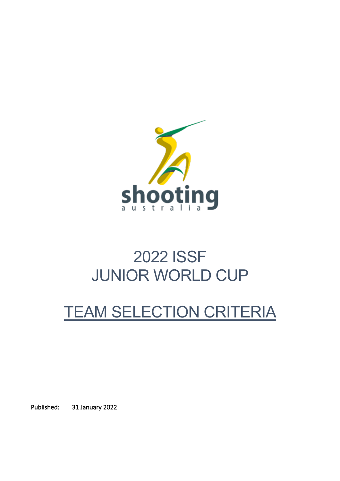

# 2022 ISSF JUNIOR WORLD CUP

# TEAM SELECTION CRITERIA

Published: 31 January 2022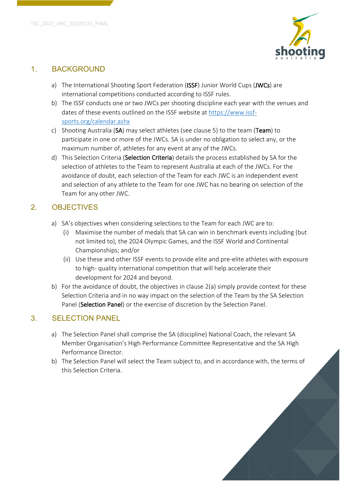

#### 1. BACKGROUND

- a) The International Shooting Sport Federation (ISSF) Junior World Cups (JWCs) are international competitions conducted according to ISSF rules.
- b) The ISSF conducts one or two JWCs per shooting discipline each year with the venues and dates of these events outlined on the ISSF website at https://www.issfsports.org/calendar.ashx
- c) Shooting Australia (SA) may select athletes (see clause 5) to the team (Team) to participate in one or more of the JWCs. SA is under no obligation to select any, or the maximum number of, athletes for any event at any of the JWCs.
- d) This Selection Criteria (Selection Criteria) details the process established by SA for the selection of athletes to the Team to represent Australia at each of the JWCs. For the avoidance of doubt, each selection of the Team for each JWC is an independent event and selection of any athlete to the Team for one JWC has no bearing on selection of the Team for any other JWC.

# 2. OBJECTIVES

- a) SA's objectives when considering selections to the Team for each JWC are to:
	- (i) Maximise the number of medals that SA can win in benchmark events including (but not limited to), the 2024 Olympic Games, and the ISSF World and Continental Championships; and/or
	- (ii) Use these and other ISSF events to provide elite and pre-elite athletes with exposure to high- quality international competition that will help accelerate their development for 2024 and beyond.
- b) For the avoidance of doubt, the objectives in clause 2(a) simply provide context for these Selection Criteria and in no way impact on the selection of the Team by the SA Selection Panel (Selection Panel) or the exercise of discretion by the Selection Panel.

# 3. SELECTION PANEL

- a) The Selection Panel shall comprise the SA (discipline) National Coach, the relevant SA Member Organisation's High Performance Committee Representative and the SA High Performance Director.
- b) The Selection Panel will select the Team subject to, and in accordance with, the terms of this Selection Criteria.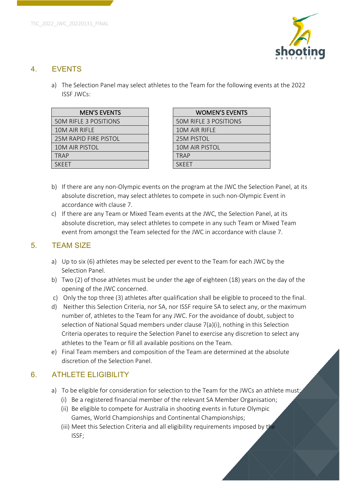

#### 4. EVENTS

a) The Selection Panel may select athletes to the Team for the following events at the 2022 ISSF JWCs:

| <b>MEN'S EVENTS</b>          | <b>WOMEN'S EVEN</b>          |
|------------------------------|------------------------------|
| <b>50M RIFLE 3 POSITIONS</b> | <b>50M RIFLE 3 POSITIONS</b> |
| 10M AIR RIFLE                | 10M AIR RIFLE                |
| 25M RAPID FIRE PISTOL        | 25M PISTOL                   |
| 10M AIR PISTOL               | 10M AIR PISTOL               |
| <b>TRAP</b>                  | <b>TRAP</b>                  |
| <b>SKFFT</b>                 | <b>SKFFT</b>                 |

| <b>WOMEN'S EVENTS</b>        |
|------------------------------|
| <b>50M RIFLE 3 POSITIONS</b> |
| 10M AIR RIFLE                |
| <b>25M PISTOL</b>            |
| <b>10M AIR PISTOL</b>        |
| <b>TRAP</b>                  |
| <b>SKFFT</b>                 |
|                              |

- b) If there are any non-Olympic events on the program at the JWC the Selection Panel, at its absolute discretion, may select athletes to compete in such non-Olympic Event in accordance with clause 7.
- c) If there are any Team or Mixed Team events at the JWC, the Selection Panel, at its absolute discretion, may select athletes to compete in any such Team or Mixed Team event from amongst the Team selected for the JWC in accordance with clause 7.

## 5. TEAM SIZE

- a) Up to six (6) athletes may be selected per event to the Team for each JWC by the Selection Panel.
- b) Two (2) of those athletes must be under the age of eighteen (18) years on the day of the opening of the JWC concerned.
- c) Only the top three (3) athletes after qualification shall be eligible to proceed to the final.
- d) Neither this Selection Criteria, nor SA, nor ISSF require SA to select any, or the maximum number of, athletes to the Team for any JWC. For the avoidance of doubt, subject to selection of National Squad members under clause 7(a)(i), nothing in this Selection Criteria operates to require the Selection Panel to exercise any discretion to select any athletes to the Team or fill all available positions on the Team.
- e) Final Team members and composition of the Team are determined at the absolute discretion of the Selection Panel.

# 6. ATHLETE ELIGIBILITY

- a) To be eligible for consideration for selection to the Team for the JWCs an athlete must:
	- (i) Be a registered financial member of the relevant SA Member Organisation;
	- (ii) Be eligible to compete for Australia in shooting events in future Olympic Games, World Championships and Continental Championships;
	- (iii) Meet this Selection Criteria and all eligibility requirements imposed by the ISSF;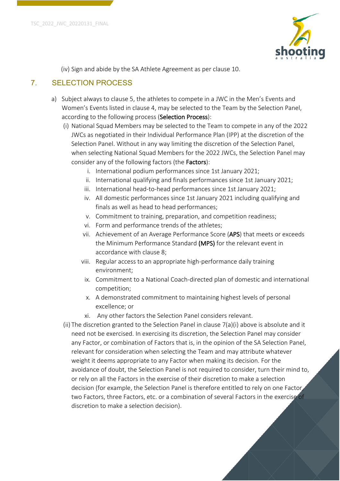

(iv) Sign and abide by the SA Athlete Agreement as per clause 10.

# 7. SELECTION PROCESS

- a) Subject always to clause 5, the athletes to compete in a JWC in the Men's Events and Women's Events listed in clause 4, may be selected to the Team by the Selection Panel, according to the following process (Selection Process):
	- (i) National Squad Members may be selected to the Team to compete in any of the 2022 JWCs as negotiated in their Individual Performance Plan (IPP) at the discretion of the Selection Panel. Without in any way limiting the discretion of the Selection Panel, when selecting National Squad Members for the 2022 JWCs, the Selection Panel may consider any of the following factors (the **Factors**):
		- i. International podium performances since 1st January 2021;
		- ii. International qualifying and finals performances since 1st January 2021;
		- iii. International head-to-head performances since 1st January 2021;
		- iv. All domestic performances since 1st January 2021 including qualifying and finals as well as head to head performances;
		- v. Commitment to training, preparation, and competition readiness;
		- vi. Form and performance trends of the athletes;
		- vii. Achievement of an Average Performance Score (APS) that meets or exceeds the Minimum Performance Standard (MPS) for the relevant event in accordance with clause 8;
		- viii. Regular access to an appropriate high-performance daily training environment;
			- ix. Commitment to a National Coach-directed plan of domestic and international competition;
			- x. A demonstrated commitment to maintaining highest levels of personal excellence; or
			- xi. Any other factors the Selection Panel considers relevant.
	- (ii) The discretion granted to the Selection Panel in clause  $7(a)(i)$  above is absolute and it need not be exercised. In exercising its discretion, the Selection Panel may consider any Factor, or combination of Factors that is, in the opinion of the SA Selection Panel, relevant for consideration when selecting the Team and may attribute whatever weight it deems appropriate to any Factor when making its decision. For the avoidance of doubt, the Selection Panel is not required to consider, turn their mind to, or rely on all the Factors in the exercise of their discretion to make a selection decision (for example, the Selection Panel is therefore entitled to rely on one Factor, two Factors, three Factors, etc. or a combination of several Factors in the exercise of discretion to make a selection decision).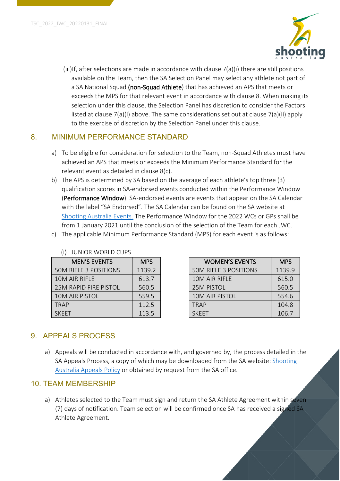

(iii)If, after selections are made in accordance with clause 7(a)(i) there are still positions available on the Team, then the SA Selection Panel may select any athlete not part of a SA National Squad (non-Squad Athlete) that has achieved an APS that meets or exceeds the MPS for that relevant event in accordance with clause 8. When making its selection under this clause, the Selection Panel has discretion to consider the Factors listed at clause 7(a)(i) above. The same considerations set out at clause 7(a)(ii) apply to the exercise of discretion by the Selection Panel under this clause.

#### 8. MINIMUM PERFORMANCE STANDARD

- a) To be eligible for consideration for selection to the Team, non-Squad Athletes must have achieved an APS that meets or exceeds the Minimum Performance Standard for the relevant event as detailed in clause 8(c).
- b) The APS is determined by SA based on the average of each athlete's top three (3) qualification scores in SA-endorsed events conducted within the Performance Window (Performance Window). SA-endorsed events are events that appear on the SA Calendar with the label "SA Endorsed". The SA Calendar can be found on the SA website at Shooting Australia Events. The Performance Window for the 2022 WCs or GPs shall be from 1 January 2021 until the conclusion of the selection of the Team for each JWC.
- c) The applicable Minimum Performance Standard (MPS) for each event is as follows:

| <b>MEN'S EVENTS</b>          | <b>MPS</b> | <b>WOMEN'S EVENTS</b>        | <b>MPS</b> |
|------------------------------|------------|------------------------------|------------|
| <b>50M RIFLE 3 POSITIONS</b> | 1139.2     | <b>50M RIFLE 3 POSITIONS</b> | 1139.9     |
| 10M AIR RIFLE                | 613.7      | 10M AIR RIFLE                | 615.0      |
| 25M RAPID FIRE PISTOL        | 560.5      | <b>25M PISTOL</b>            | 560.5      |
| <b>10M AIR PISTOL</b>        | 559.5      | <b>10M AIR PISTOL</b>        | 554.6      |
| <b>TRAP</b>                  | 112.5      | <b>TRAP</b>                  | 104.8      |
| <b>SKEET</b>                 | 113.5      | <b>SKEET</b>                 | 106.7      |

| <b>MEN'S EVENTS</b>          | <b>MPS</b> | <b>WOMEN'S EVENTS</b>        | <b>MPS</b> |
|------------------------------|------------|------------------------------|------------|
| <b>50M RIFLE 3 POSITIONS</b> | 1139.2     | <b>50M RIFLE 3 POSITIONS</b> | 1139.9     |
| 10M AIR RIFLE                | 613.7      | 10M AIR RIFLE                | 615.0      |
| <b>25M RAPID FIRE PISTOL</b> | 560.5      | <b>25M PISTOL</b>            | 560.5      |
| 10M AIR PISTOL               | 559.5      | <b>10M AIR PISTOL</b>        | 554.6      |
| TRAP                         | 112.5      | <b>TRAP</b>                  | 104.8      |
| SKEET                        | 113.5      | <b>SKFFT</b>                 | 106.7      |

## 9. APPEALS PROCESS

a) Appeals will be conducted in accordance with, and governed by, the process detailed in the SA Appeals Process, a copy of which may be downloaded from the SA website: Shooting Australia Appeals Policy or obtained by request from the SA office.

#### 10. TEAM MEMBERSHIP

a) Athletes selected to the Team must sign and return the SA Athlete Agreement within seven (7) days of notification. Team selection will be confirmed once SA has received a signed SA Athlete Agreement.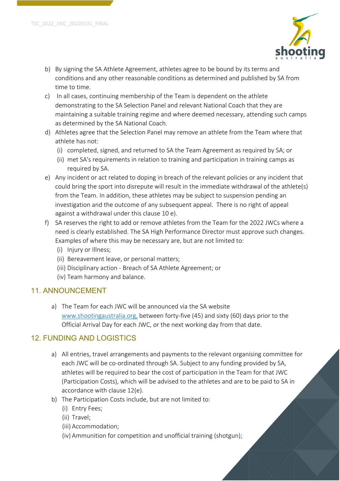

- b) By signing the SA Athlete Agreement, athletes agree to be bound by its terms and conditions and any other reasonable conditions as determined and published by SA from time to time.
- c) In all cases, continuing membership of the Team is dependent on the athlete demonstrating to the SA Selection Panel and relevant National Coach that they are maintaining a suitable training regime and where deemed necessary, attending such camps as determined by the SA National Coach.
- d) Athletes agree that the Selection Panel may remove an athlete from the Team where that athlete has not:
	- (i) completed, signed, and returned to SA the Team Agreement as required by SA; or
	- (ii) met SA's requirements in relation to training and participation in training camps as required by SA.
- e) Any incident or act related to doping in breach of the relevant policies or any incident that could bring the sport into disrepute will result in the immediate withdrawal of the athlete(s) from the Team. In addition, these athletes may be subject to suspension pending an investigation and the outcome of any subsequent appeal. There is no right of appeal against a withdrawal under this clause 10 e).
- f) SA reserves the right to add or remove athletes from the Team for the 2022 JWCs where a need is clearly established. The SA High Performance Director must approve such changes. Examples of where this may be necessary are, but are not limited to:
	- (i) Injury or Illness;
	- (ii) Bereavement leave, or personal matters;
	- (iii) Disciplinary action Breach of SA Athlete Agreement; or
	- (iv) Team harmony and balance.

## 11. ANNOUNCEMENT

a) The Team for each JWC will be announced via the SA website www.shootingaustralia.org, between forty-five (45) and sixty (60) days prior to the Official Arrival Day for each JWC, or the next working day from that date.

## 12. FUNDING AND LOGISTICS

- a) All entries, travel arrangements and payments to the relevant organising committee for each JWC will be co-ordinated through SA. Subject to any funding provided by SA, athletes will be required to bear the cost of participation in the Team for that JWC (Participation Costs), which will be advised to the athletes and are to be paid to SA in accordance with clause 12(e).
- b) The Participation Costs include, but are not limited to:
	- (i) Entry Fees;
	- (ii) Travel;
	- (iii) Accommodation;
	- (iv) Ammunition for competition and unofficial training (shotgun);